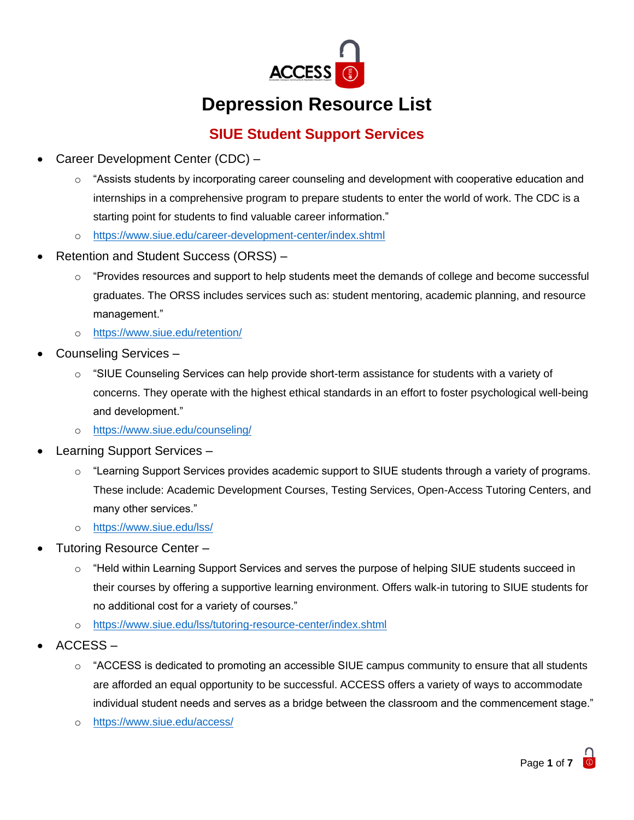

# **Depression Resource List**

### **SIUE Student Support Services**

- Career Development Center (CDC)
	- $\circ$  "Assists students by incorporating career counseling and development with cooperative education and internships in a comprehensive program to prepare students to enter the world of work. The CDC is a starting point for students to find valuable career information."
	- o <https://www.siue.edu/career-development-center/index.shtml>
- Retention and Student Success (ORSS)
	- $\circ$  "Provides resources and support to help students meet the demands of college and become successful graduates. The ORSS includes services such as: student mentoring, academic planning, and resource management."
	- o <https://www.siue.edu/retention/>
- Counseling Services
	- $\circ$  "SIUE Counseling Services can help provide short-term assistance for students with a variety of concerns. They operate with the highest ethical standards in an effort to foster psychological well-being and development."
	- o <https://www.siue.edu/counseling/>
- Learning Support Services
	- o "Learning Support Services provides academic support to SIUE students through a variety of programs. These include: Academic Development Courses, Testing Services, Open-Access Tutoring Centers, and many other services."
	- o <https://www.siue.edu/lss/>
- Tutoring Resource Center
	- $\circ$  "Held within Learning Support Services and serves the purpose of helping SIUE students succeed in their courses by offering a supportive learning environment. Offers walk-in tutoring to SIUE students for no additional cost for a variety of courses."
	- o <https://www.siue.edu/lss/tutoring-resource-center/index.shtml>
- ACCESS
	- o "ACCESS is dedicated to promoting an accessible SIUE campus community to ensure that all students are afforded an equal opportunity to be successful. ACCESS offers a variety of ways to accommodate individual student needs and serves as a bridge between the classroom and the commencement stage."
	- o <https://www.siue.edu/access/>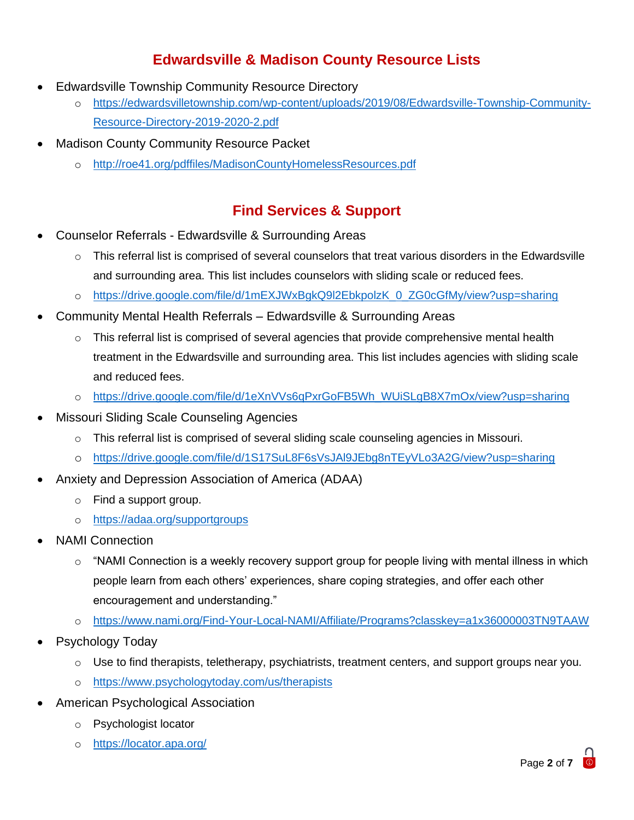## **Edwardsville & Madison County Resource Lists**

- Edwardsville Township Community Resource Directory
	- o [https://edwardsvilletownship.com/wp-content/uploads/2019/08/Edwardsville-Township-Community-](https://edwardsvilletownship.com/wp-content/uploads/2019/08/Edwardsville-Township-Community-Resource-Directory-2019-2020-2.pdf)[Resource-Directory-2019-2020-2.pdf](https://edwardsvilletownship.com/wp-content/uploads/2019/08/Edwardsville-Township-Community-Resource-Directory-2019-2020-2.pdf)
- **Madison County Community Resource Packet** 
	- o <http://roe41.org/pdffiles/MadisonCountyHomelessResources.pdf>

#### **Find Services & Support**

- Counselor Referrals Edwardsville & Surrounding Areas
	- $\circ$  This referral list is comprised of several counselors that treat various disorders in the Edwardsville and surrounding area. This list includes counselors with sliding scale or reduced fees.
	- o [https://drive.google.com/file/d/1mEXJWxBgkQ9l2EbkpolzK\\_0\\_ZG0cGfMy/view?usp=sharing](https://drive.google.com/file/d/1mEXJWxBgkQ9l2EbkpolzK_0_ZG0cGfMy/view?usp=sharing)
- Community Mental Health Referrals Edwardsville & Surrounding Areas
	- $\circ$  This referral list is comprised of several agencies that provide comprehensive mental health treatment in the Edwardsville and surrounding area. This list includes agencies with sliding scale and reduced fees.
	- o [https://drive.google.com/file/d/1eXnVVs6qPxrGoFB5Wh\\_WUiSLgB8X7mOx/view?usp=sharing](https://drive.google.com/file/d/1eXnVVs6qPxrGoFB5Wh_WUiSLgB8X7mOx/view?usp=sharing)
- Missouri Sliding Scale Counseling Agencies
	- o This referral list is comprised of several sliding scale counseling agencies in Missouri.
	- o <https://drive.google.com/file/d/1S17SuL8F6sVsJAl9JEbg8nTEyVLo3A2G/view?usp=sharing>
- Anxiety and Depression Association of America (ADAA)
	- o Find a support group.
	- o <https://adaa.org/supportgroups>
- NAMI Connection
	- $\circ$  "NAMI Connection is a weekly recovery support group for people living with mental illness in which people learn from each others' experiences, share coping strategies, and offer each other encouragement and understanding."
	- o <https://www.nami.org/Find-Your-Local-NAMI/Affiliate/Programs?classkey=a1x36000003TN9TAAW>
- Psychology Today
	- $\circ$  Use to find therapists, teletherapy, psychiatrists, treatment centers, and support groups near you.
	- o <https://www.psychologytoday.com/us/therapists>
- American Psychological Association
	- o Psychologist locator
	- o <https://locator.apa.org/>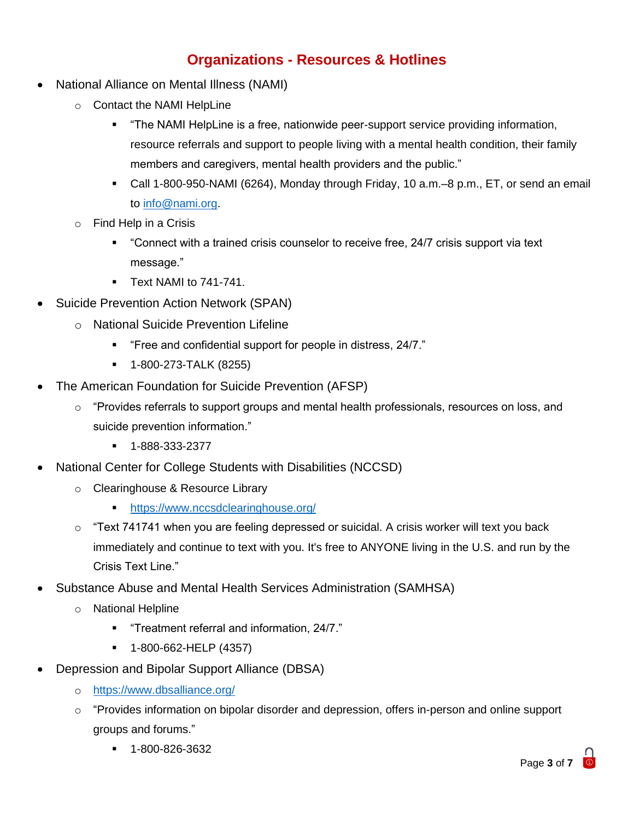### **Organizations - Resources & Hotlines**

- National Alliance on Mental Illness (NAMI)
	- o Contact the NAMI HelpLine
		- "The NAMI HelpLine is a free, nationwide peer-support service providing information, resource referrals and support to people living with a mental health condition, their family members and caregivers, mental health providers and the public."
		- Call 1-800-950-NAMI (6264), Monday through Friday, 10 a.m.–8 p.m., ET, or send an email to [info@nami.org.](mailto:info@nami.org)
	- o Find Help in a Crisis
		- "Connect with a trained crisis counselor to receive free, 24/7 crisis support via text message."
		- **E** Text NAMI to 741-741.
- Suicide Prevention Action Network (SPAN)
	- o National Suicide Prevention Lifeline
		- "Free and confidential support for people in distress, 24/7."
		- 1-800-273-TALK (8255)
- The American Foundation for Suicide Prevention (AFSP)
	- $\circ$  "Provides referrals to support groups and mental health professionals, resources on loss, and suicide prevention information."
		- 1-888-333-2377
- National Center for College Students with Disabilities (NCCSD)
	- o Clearinghouse & Resource Library
		- https://www.nccsdclearinghouse.org/
	- $\circ$  "Text 741741 when you are feeling depressed or suicidal. A crisis worker will text you back immediately and continue to text with you. It's free to ANYONE living in the U.S. and run by the Crisis Text Line."
- Substance Abuse and Mental Health Services Administration (SAMHSA)
	- o National Helpline
		- "Treatment referral and information, 24/7."
		- 1-800-662-HELP (4357)
- Depression and Bipolar Support Alliance (DBSA)
	- o <https://www.dbsalliance.org/>
	- o "Provides information on bipolar disorder and depression, offers in-person and online support groups and forums."
		- 1-800-826-3632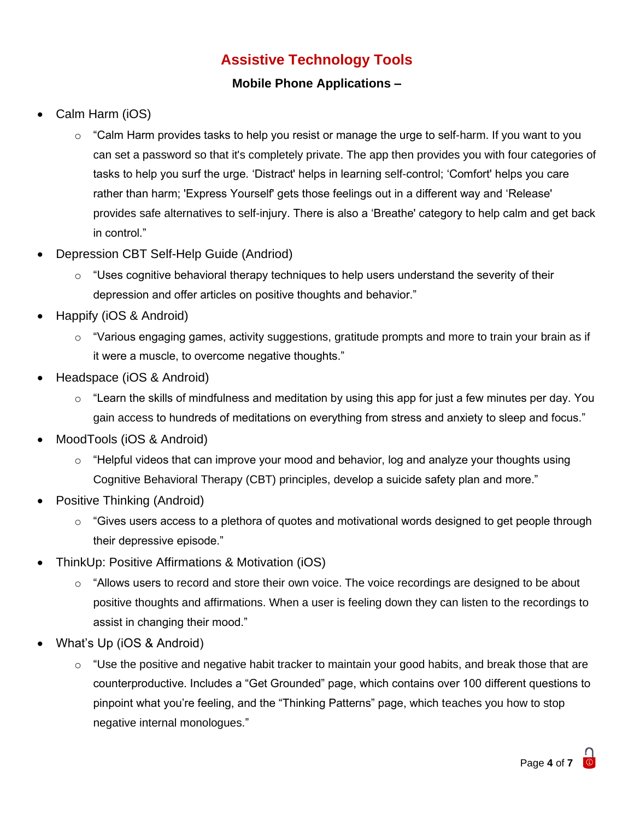### **Assistive Technology Tools**

#### **Mobile Phone Applications –**

- Calm Harm (iOS)
	- $\circ$  "Calm Harm provides tasks to help you resist or manage the urge to self-harm. If you want to you can set a password so that it's completely private. The app then provides you with four categories of tasks to help you surf the urge. 'Distract' helps in learning self-control; 'Comfort' helps you care rather than harm; 'Express Yourself' gets those feelings out in a different way and 'Release' provides safe alternatives to self-injury. There is also a 'Breathe' category to help calm and get back in control."
- Depression CBT Self-Help Guide (Andriod)
	- $\circ$  "Uses cognitive behavioral therapy techniques to help users understand the severity of their depression and offer articles on positive thoughts and behavior."
- Happify (iOS & Android)
	- $\circ$  "Various engaging games, activity suggestions, gratitude prompts and more to train your brain as if it were a muscle, to overcome negative thoughts."
- Headspace (iOS & Android)
	- $\circ$  "Learn the skills of mindfulness and meditation by using this app for just a few minutes per day. You gain access to hundreds of meditations on everything from stress and anxiety to sleep and focus."
- MoodTools (iOS & Android)
	- $\circ$  "Helpful videos that can improve your mood and behavior, log and analyze your thoughts using Cognitive Behavioral Therapy (CBT) principles, develop a suicide safety plan and more."
- Positive Thinking (Android)
	- $\circ$  "Gives users access to a plethora of quotes and motivational words designed to get people through their depressive episode."
- ThinkUp: Positive Affirmations & Motivation (iOS)
	- $\circ$  "Allows users to record and store their own voice. The voice recordings are designed to be about positive thoughts and affirmations. When a user is feeling down they can listen to the recordings to assist in changing their mood."
- What's Up (iOS & Android)
	- $\circ$  "Use the positive and negative habit tracker to maintain your good habits, and break those that are counterproductive. Includes a "Get Grounded" page, which contains over 100 different questions to pinpoint what you're feeling, and the "Thinking Patterns" page, which teaches you how to stop negative internal monologues."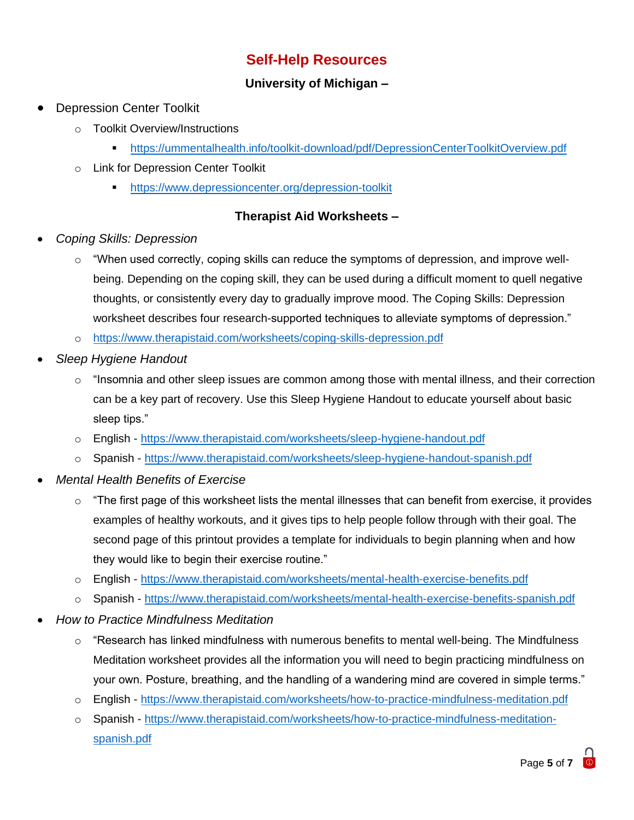### **Self-Help Resources**

#### **University of Michigan –**

- Depression Center Toolkit
	- o Toolkit Overview/Instructions
		- <https://ummentalhealth.info/toolkit-download/pdf/DepressionCenterToolkitOverview.pdf>
	- o Link for Depression Center Toolkit
		- **•** <https://www.depressioncenter.org/depression-toolkit>

#### **Therapist Aid Worksheets –**

- *Coping Skills: Depression* 
	- $\circ$  "When used correctly, coping skills can reduce the symptoms of depression, and improve wellbeing. Depending on the coping skill, they can be used during a difficult moment to quell negative thoughts, or consistently every day to gradually improve mood. The Coping Skills: Depression worksheet describes four research-supported techniques to alleviate symptoms of depression."
	- o <https://www.therapistaid.com/worksheets/coping-skills-depression.pdf>
- *Sleep Hygiene Handout*
	- $\circ$  "Insomnia and other sleep issues are common among those with mental illness, and their correction can be a key part of recovery. Use this Sleep Hygiene Handout to educate yourself about basic sleep tips."
	- o English <https://www.therapistaid.com/worksheets/sleep-hygiene-handout.pdf>
	- o Spanish <https://www.therapistaid.com/worksheets/sleep-hygiene-handout-spanish.pdf>
- *Mental Health Benefits of Exercise*
	- $\circ$  "The first page of this worksheet lists the mental illnesses that can benefit from exercise, it provides examples of healthy workouts, and it gives tips to help people follow through with their goal. The second page of this printout provides a template for individuals to begin planning when and how they would like to begin their exercise routine."
	- o English <https://www.therapistaid.com/worksheets/mental-health-exercise-benefits.pdf>
	- o Spanish <https://www.therapistaid.com/worksheets/mental-health-exercise-benefits-spanish.pdf>
- *How to Practice Mindfulness Meditation*
	- $\circ$  "Research has linked mindfulness with numerous benefits to mental well-being. The Mindfulness Meditation worksheet provides all the information you will need to begin practicing mindfulness on your own. Posture, breathing, and the handling of a wandering mind are covered in simple terms."
	- o English <https://www.therapistaid.com/worksheets/how-to-practice-mindfulness-meditation.pdf>
	- o Spanish [https://www.therapistaid.com/worksheets/how-to-practice-mindfulness-meditation](https://www.therapistaid.com/worksheets/how-to-practice-mindfulness-meditation-spanish.pdf)[spanish.pdf](https://www.therapistaid.com/worksheets/how-to-practice-mindfulness-meditation-spanish.pdf)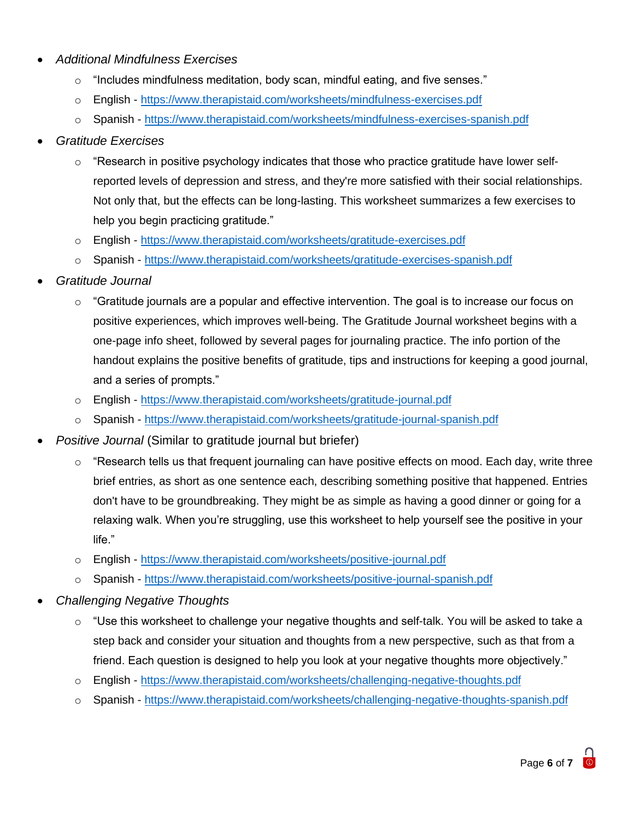#### • *Additional Mindfulness Exercises*

- o "Includes mindfulness meditation, body scan, mindful eating, and five senses."
- o English <https://www.therapistaid.com/worksheets/mindfulness-exercises.pdf>
- o Spanish <https://www.therapistaid.com/worksheets/mindfulness-exercises-spanish.pdf>

#### • *Gratitude Exercises*

- $\circ$  "Research in positive psychology indicates that those who practice gratitude have lower selfreported levels of depression and stress, and they're more satisfied with their social relationships. Not only that, but the effects can be long-lasting. This worksheet summarizes a few exercises to help you begin practicing gratitude."
- o English <https://www.therapistaid.com/worksheets/gratitude-exercises.pdf>
- o Spanish <https://www.therapistaid.com/worksheets/gratitude-exercises-spanish.pdf>
- *Gratitude Journal*
	- $\circ$  "Gratitude journals are a popular and effective intervention. The goal is to increase our focus on positive experiences, which improves well-being. The Gratitude Journal worksheet begins with a one-page info sheet, followed by several pages for journaling practice. The info portion of the handout explains the positive benefits of gratitude, tips and instructions for keeping a good journal, and a series of prompts."
	- o English <https://www.therapistaid.com/worksheets/gratitude-journal.pdf>
	- o Spanish <https://www.therapistaid.com/worksheets/gratitude-journal-spanish.pdf>
- *Positive Journal* (Similar to gratitude journal but briefer)
	- o "Research tells us that frequent journaling can have positive effects on mood. Each day, write three brief entries, as short as one sentence each, describing something positive that happened. Entries don't have to be groundbreaking. They might be as simple as having a good dinner or going for a relaxing walk. When you're struggling, use this worksheet to help yourself see the positive in your life."
	- o English <https://www.therapistaid.com/worksheets/positive-journal.pdf>
	- o Spanish <https://www.therapistaid.com/worksheets/positive-journal-spanish.pdf>
- *Challenging Negative Thoughts*
	- $\circ$  "Use this worksheet to challenge your negative thoughts and self-talk. You will be asked to take a step back and consider your situation and thoughts from a new perspective, such as that from a friend. Each question is designed to help you look at your negative thoughts more objectively."
	- o English <https://www.therapistaid.com/worksheets/challenging-negative-thoughts.pdf>
	- o Spanish <https://www.therapistaid.com/worksheets/challenging-negative-thoughts-spanish.pdf>